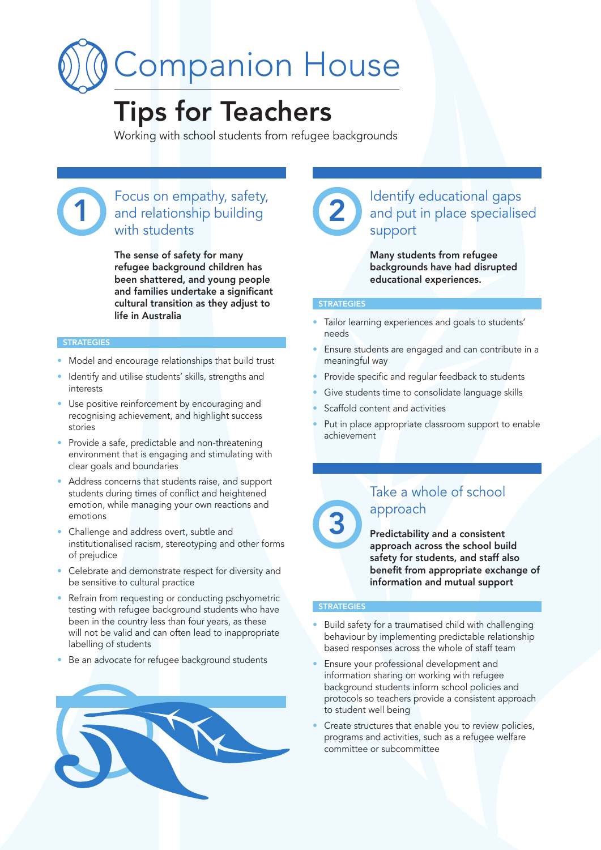# Companion House

## Tips for Teachers

Working with school students from refugee backgrounds

## Focus on empathy, safety, 1 and relationship building 2 with students

The sense of safety for many refugee background children has been shattered, and young people and families undertake a significant cultural transition as they adjust to life in Australia

### **STRATEGIES**

- Model and encourage relationships that build trust
- Identify and utilise students' skills, strengths and interests
- Use positive reinforcement by encouraging and recognising achievement, and highlight success stories
- Provide a safe, predictable and non-threatening environment that is engaging and stimulating with clear goals and boundaries
- Address concerns that students raise, and support students during times of conflict and heightened emotion, while managing your own reactions and emotions
- Challenge and address overt, subtle and institutionalised racism, stereotyping and other forms of prejudice
- Celebrate and demonstrate respect for diversity and be sensitive to cultural practice
- Refrain from requesting or conducting pschyometric testing with refugee background students who have been in the country less than four years, as these will not be valid and can often lead to inappropriate labelling of students
- Be an advocate for refugee background students





## Identify educational gaps and put in place specialised support

Many students from refugee backgrounds have had disrupted educational experiences.

#### **STRATEGIES**

- Tailor learning experiences and goals to students' needs
- Ensure students are engaged and can contribute in a meaningful way
- Provide specific and regular feedback to students
- Give students time to consolidate language skills
- Scaffold content and activities
- Put in place appropriate classroom support to enable achievement



## Take a whole of school approach

Predictability and a consistent approach across the school build safety for students, and staff also benefit from appropriate exchange of information and mutual support

## **STRATEGIES**

- Build safety for a traumatised child with challenging behaviour by implementing predictable relationship based responses across the whole of staff team
- Ensure your professional development and information sharing on working with refugee background students inform school policies and protocols so teachers provide a consistent approach to student well being
- Create structures that enable you to review policies, programs and activities, such as a refugee welfare committee or subcommittee